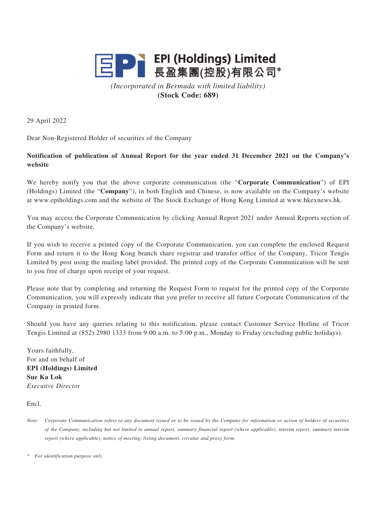

*(Incorporated in Bermuda with limited liability)* **(Stock Code: 689)**

29 April 2022

Dear Non-Registered Holder of securities of the Company

## **Notification of publication of Annual Report for the year ended 31 December 2021 on the Company's website**

We hereby notify you that the above corporate communication (the "**Corporate Communication**") of EPI (Holdings) Limited (the "**Company**"), in both English and Chinese, is now available on the Company's website at www.epiholdings.com and the website of The Stock Exchange of Hong Kong Limited at www.hkexnews.hk.

You may access the Corporate Communication by clicking Annual Report 2021 under Annual Reports section of the Company's website.

If you wish to receive a printed copy of the Corporate Communication, you can complete the enclosed Request Form and return it to the Hong Kong branch share registrar and transfer office of the Company, Tricor Tengis Limited by post using the mailing label provided. The printed copy of the Corporate Communication will be sent to you free of charge upon receipt of your request.

Please note that by completing and returning the Request Form to request for the printed copy of the Corporate Communication, you will expressly indicate that you prefer to receive all future Corporate Communication of the Company in printed form.

Should you have any queries relating to this notification, please contact Customer Service Hotline of Tricor Tengis Limited at (852) 2980 1333 from 9:00 a.m. to 5:00 p.m., Monday to Friday (excluding public holidays).

Yours faithfully, For and on behalf of **EPI (Holdings) Limited Sue Ka Lok** *Executive Director*

Encl.

*\* For identification purpose only*

*Note: Corporate Communication refers to any document issued or to be issued by the Company for information or action of holders of securities of the Company, including but not limited to annual report, summary financial report (where applicable), interim report, summary interim report (where applicable), notice of meeting, listing document, circular and proxy form.*